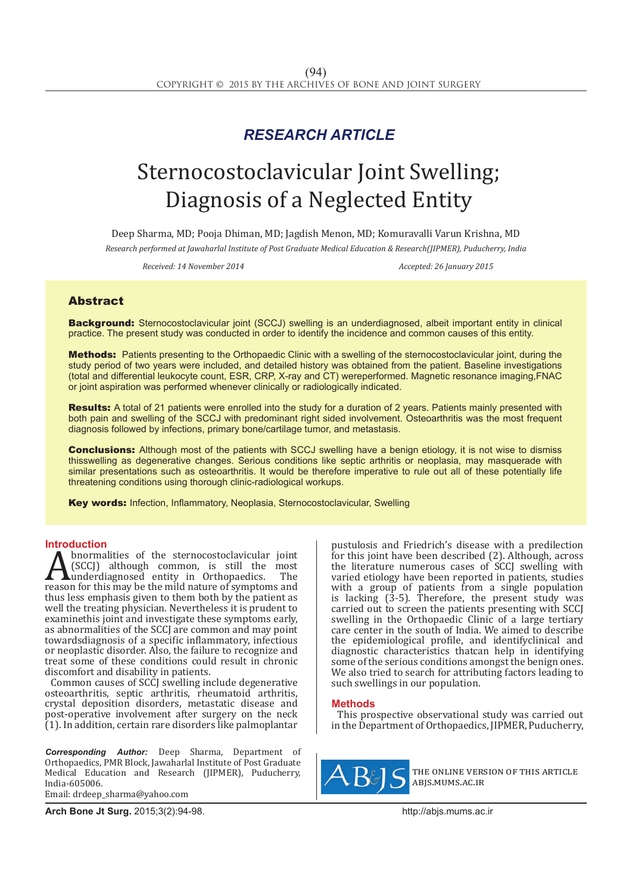## *RESEARCH ARTICLE*

# Sternocostoclavicular Joint Swelling; Diagnosis of a Neglected Entity

Deep Sharma, MD; Pooja Dhiman, MD; Jagdish Menon, MD; Komuravalli Varun Krishna, MD *Research performed at Jawaharlal Institute of Post Graduate Medical Education & Research(JIPMER), Puducherry, India*

*Received: 14 November 2014 Accepted: 26 January 2015*

### Abstract

Background: Sternocostoclavicular joint (SCCJ) swelling is an underdiagnosed, albeit important entity in clinical practice. The present study was conducted in order to identify the incidence and common causes of this entity.

Methods: Patients presenting to the Orthopaedic Clinic with a swelling of the sternocostoclavicular joint, during the study period of two years were included, and detailed history was obtained from the patient. Baseline investigations (total and differential leukocyte count, ESR, CRP, X-ray and CT) wereperformed. Magnetic resonance imaging,FNAC or joint aspiration was performed whenever clinically or radiologically indicated.

Results: A total of 21 patients were enrolled into the study for a duration of 2 years. Patients mainly presented with both pain and swelling of the SCCJ with predominant right sided involvement. Osteoarthritis was the most frequent diagnosis followed by infections, primary bone/cartilage tumor, and metastasis.

**Conclusions:** Although most of the patients with SCCJ swelling have a benign etiology, it is not wise to dismiss thisswelling as degenerative changes. Serious conditions like septic arthritis or neoplasia, may masquerade with similar presentations such as osteoarthritis. It would be therefore imperative to rule out all of these potentially life threatening conditions using thorough clinic-radiological workups.

Key words: Infection, Inflammatory, Neoplasia, Sternocostoclavicular, Swelling

**Introduction**<br>**A** bnormalities of the sternocostoclavicular joint **A** (SCCJ) although common, is still the most<br>underdiagnosed entity in Orthopaedics. The<br>reason for this may be the mild nature of symptoms and<br>thus less emphasis given to them both by the patient as (SCCJ) although common, is still the most underdiagnosed entity in Orthopaedics. The reason for this may be the mild nature of symptoms and thus less emphasis given to them both by the patient as well the treating physician. Nevertheless it is prudent to examinethis joint and investigate these symptoms early, as abnormalities of the SCCJ are common and may point towardsdiagnosis of a specific inflammatory, infectious or neoplastic disorder. Also, the failure to recognize and treat some of these conditions could result in chronic discomfort and disability in patients.

Common causes of SCCJ swelling include degenerative osteoarthritis, septic arthritis, rheumatoid arthritis, crystal deposition disorders, metastatic disease and post-operative involvement after surgery on the neck (1). In addition, certain rare disorders like palmoplantar

*Corresponding Author:* Deep Sharma, Department of Orthopaedics, PMR Block, Jawaharlal Institute of Post Graduate Medical Education and Research (JIPMER), Puducherry, India-605006.

Email: drdeep\_sharma@yahoo.com

pustulosis and Friedrich's disease with a predilection for this joint have been described (2). Although, across the literature numerous cases of SCCJ swelling with varied etiology have been reported in patients, studies with a group of patients from a single population is lacking  $(3-5)$ . Therefore, the present study was carried out to screen the patients presenting with SCCJ swelling in the Orthopaedic Clinic of a large tertiary care center in the south of India. We aimed to describe the epidemiological profile, and identifyclinical and diagnostic characteristics thatcan help in identifying some of the serious conditions amongst the benign ones. We also tried to search for attributing factors leading to such swellings in our population.

#### **Methods**

This prospective observational study was carried out in the Department of Orthopaedics, JIPMER, Puducherry,



the online version of this article abjs.mums.ac.ir

**Arch Bone Jt Surg.** 2015;3(2):94-98.http://abjs.mums.ac.ir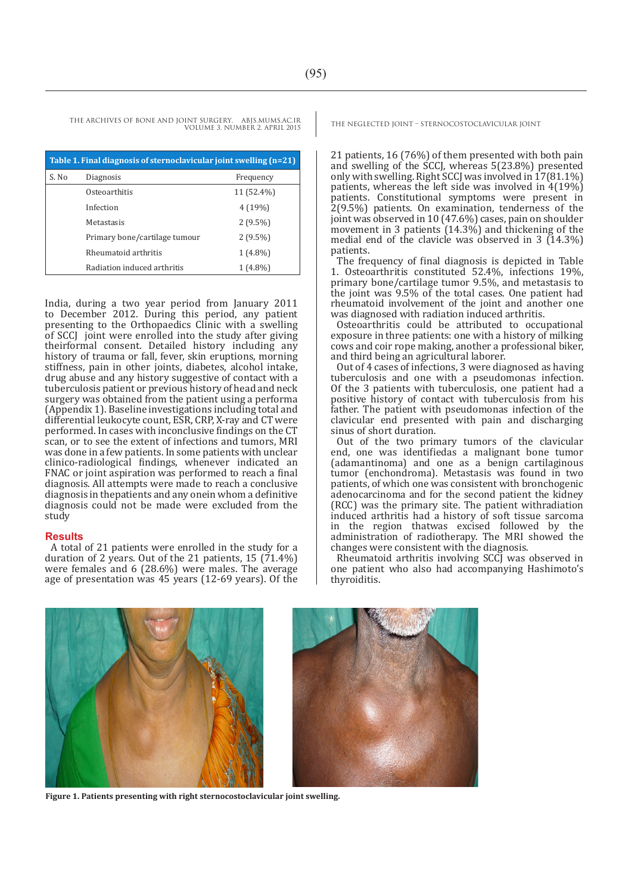THE ARCHIVES OF BONE AND JOINT SURGERY. ABJS.MUMS.AC.IR THE NEGLECTED JOINT – STERNOCOSTOCLAVICULAR JOINT VOLUME 3. NUMBER 2. APRIL 2015

| Table 1. Final diagnosis of sternoclavicular joint swelling (n=21) |                               |            |  |
|--------------------------------------------------------------------|-------------------------------|------------|--|
| S. No                                                              | Diagnosis                     | Frequency  |  |
|                                                                    | Osteoarthitis                 | 11 (52.4%) |  |
|                                                                    | Infection                     | 4(19%)     |  |
|                                                                    | Metastasis                    | $2(9.5\%)$ |  |
|                                                                    | Primary bone/cartilage tumour | $2(9.5\%)$ |  |
|                                                                    | Rheumatoid arthritis          | $1(4.8\%)$ |  |
|                                                                    | Radiation induced arthritis   | $1(4.8\%)$ |  |

India, during a two year period from January 2011 to December 2012. During this period, any patient presenting to the Orthopaedics Clinic with a swelling of SCCJ joint were enrolled into the study after giving theirformal consent. Detailed history including any history of trauma or fall, fever, skin eruptions, morning stiffness, pain in other joints, diabetes, alcohol intake, drug abuse and any history suggestive of contact with a tuberculosis patient or previous history of head and neck surgery was obtained from the patient using a performa (Appendix 1). Baseline investigations including total and differential leukocyte count, ESR, CRP, X-ray and CT were performed. In cases with inconclusive findings on the CT scan, or to see the extent of infections and tumors, MRI was done in a few patients. In some patients with unclear clinico-radiological findings, whenever indicated an FNAC or joint aspiration was performed to reach a final diagnosis. All attempts were made to reach a conclusive diagnosis in thepatients and any onein whom a definitive diagnosis could not be made were excluded from the study

#### **Results**

A total of 21 patients were enrolled in the study for a duration of 2 years. Out of the 21 patients, 15  $(71.4\%)$ were females and 6 (28.6%) were males. The average age of presentation was 45 years (12-69 years). Of the

21 patients, 16 (76%) of them presented with both pain and swelling of the SCCJ, whereas 5(23.8%) presented only with swelling. Right SCCJ was involved in 17(81.1%) patients, whereas the left side was involved in 4(19%) patients. Constitutional symptoms were present in 2(9.5%) patients. On examination, tenderness of the joint was observed in 10 (47.6%) cases, pain on shoulder movement in 3 patients  $(14.3\%)$  and thickening of the medial end of the clavicle was observed in 3 (14.3%) patients.

The frequency of final diagnosis is depicted in Table 1. Osteoarthritis constituted 52.4%, infections 19%, primary bone/cartilage tumor 9.5%, and metastasis to the joint was 9.5% of the total cases. One patient had rheumatoid involvement of the joint and another one was diagnosed with radiation induced arthritis.

Osteoarthritis could be attributed to occupational exposure in three patients: one with a history of milking cows and coir rope making, another a professional biker, and third being an agricultural laborer.

Out of 4 cases of infections, 3 were diagnosed as having tuberculosis and one with a pseudomonas infection. Of the 3 patients with tuberculosis, one patient had a positive history of contact with tuberculosis from his father. The patient with pseudomonas infection of the clavicular end presented with pain and discharging sinus of short duration.

Out of the two primary tumors of the clavicular end, one was identifiedas a malignant bone tumor (adamantinoma) and one as a benign cartilaginous tumor (enchondroma). Metastasis was found in two patients, of which one was consistent with bronchogenic adenocarcinoma and for the second patient the kidney (RCC) was the primary site. The patient withradiation induced arthritis had a history of soft tissue sarcoma in the region thatwas excised followed by the administration of radiotherapy. The MRI showed the changes were consistent with the diagnosis.

Rheumatoid arthritis involving SCCJ was observed in one patient who also had accompanying Hashimoto's thyroiditis.



**Figure 1. Patients presenting with right sternocostoclavicular joint swelling.**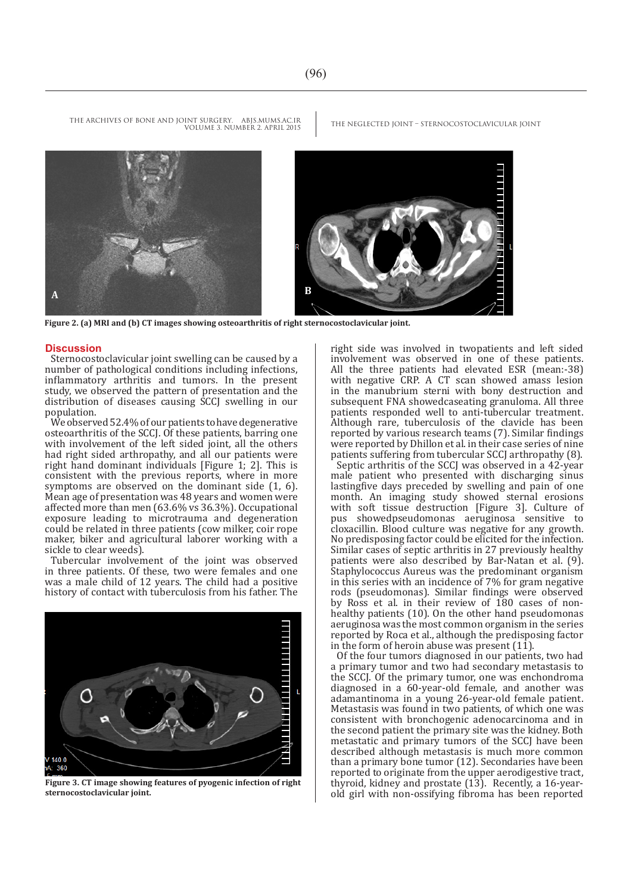



**Figure 2. (a) MRI and (b) CT images showing osteoarthritis of right sternocostoclavicular joint.**

VOLUME 3. NUMBER 2. APRIL 2015

#### **Discussion**

Sternocostoclavicular joint swelling can be caused by a number of pathological conditions including infections, inflammatory arthritis and tumors. In the present study, we observed the pattern of presentation and the distribution of diseases causing SCCJ swelling in our population.

We observed 52.4% of our patients to have degenerative osteoarthritis of the SCCJ. Of these patients, barring one with involvement of the left sided joint, all the others had right sided arthropathy, and all our patients were right hand dominant individuals [Figure 1; 2]. This is consistent with the previous reports, where in more symptoms are observed on the dominant side  $(1, 6)$ . Mean age of presentation was 48 years and women were affected more than men (63.6% vs 36.3%). Occupational exposure leading to microtrauma and degeneration could be related in three patients (cow milker, coir rope maker, biker and agricultural laborer working with a sickle to clear weeds).

Tubercular involvement of the joint was observed in three patients. Of these, two were females and one was a male child of 12 years. The child had a positive history of contact with tuberculosis from his father. The



**Figure 3. CT image showing features of pyogenic infection of right sternocostoclavicular joint.**

right side was involved in twopatients and left sided involvement was observed in one of these patients. All the three patients had elevated ESR (mean:-38) with negative CRP. A CT scan showed amass lesion in the manubrium sterni with bony destruction and subsequent FNA showedcaseating granuloma. All three patients responded well to anti-tubercular treatment. Although rare, tuberculosis of the clavicle has been reported by various research teams (7). Similar findings were reported by Dhillon et al. in their case series of nine patients suffering from tubercular SCCJ arthropathy (8).

Septic arthritis of the SCCJ was observed in a 42-year male patient who presented with discharging sinus lastingfive days preceded by swelling and pain of one month. An imaging study showed sternal erosions with soft tissue destruction [Figure 3]. Culture of pus showedpseudomonas aeruginosa sensitive to cloxacillin. Blood culture was negative for any growth. No predisposing factor could be elicited for the infection. Similar cases of septic arthritis in 27 previously healthy patients were also described by Bar-Natan et al. (9). Staphylococcus Aureus was the predominant organism in this series with an incidence of 7% for gram negative rods (pseudomonas). Similar findings were observed by Ross et al. in their review of 180 cases of nonhealthy patients (10). On the other hand pseudomonas aeruginosa was the most common organism in the series reported by Roca et al., although the predisposing factor in the form of heroin abuse was present (11).

Of the four tumors diagnosed in our patients, two had a primary tumor and two had secondary metastasis to the SCCJ. Of the primary tumor, one was enchondroma diagnosed in a 60-year-old female, and another was adamantinoma in a young 26-year-old female patient. Metastasis was found in two patients, of which one was consistent with bronchogenic adenocarcinoma and in the second patient the primary site was the kidney. Both metastatic and primary tumors of the SCCJ have been described although metastasis is much more common than a primary bone tumor (12). Secondaries have been reported to originate from the upper aerodigestive tract, thyroid, kidney and prostate (13). Recently, a 16-yearold girl with non-ossifying fibroma has been reported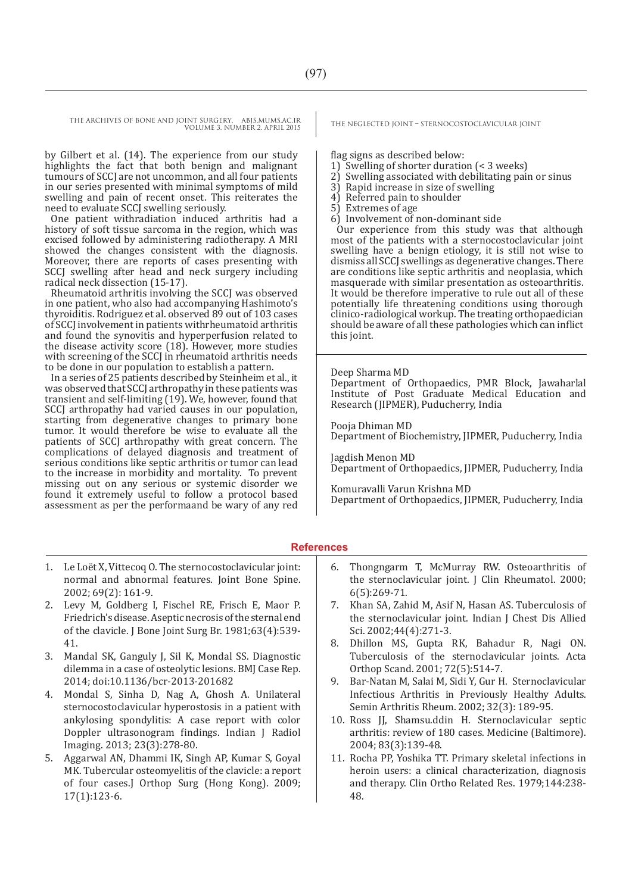THE ARCHIVES OF BONE AND JOINT SURGERY. ABJS.MUMS.AC.IR<br>VOLUME 2 AUNUED 3 ARBIL 2015 VOLUME 3. NUMBER 2. APRIL 2015

by Gilbert et al. (14). The experience from our study highlights the fact that both benign and malignant tumours of SCCJ are not uncommon, and all four patients in our series presented with minimal symptoms of mild swelling and pain of recent onset. This reiterates the need to evaluate SCCJ swelling seriously.

One patient withradiation induced arthritis had a history of soft tissue sarcoma in the region, which was excised followed by administering radiotherapy. A MRI showed the changes consistent with the diagnosis. Moreover, there are reports of cases presenting with SCCJ swelling after head and neck surgery including radical neck dissection (15-17).

Rheumatoid arthritis involving the SCCJ was observed in one patient, who also had accompanying Hashimoto's thyroiditis. Rodriguez et al. observed 89 out of 103 cases of SCCJ involvement in patients withrheumatoid arthritis and found the synovitis and hyperperfusion related to the disease activity score (18). However, more studies with screening of the SCCI in rheumatoid arthritis needs to be done in our population to establish a pattern.

In a series of 25 patients described by Steinheim et al., it was observed that SCCJ arthropathy in these patients was transient and self-limiting (19). We, however, found that SCCJ arthropathy had varied causes in our population, starting from degenerative changes to primary bone tumor. It would therefore be wise to evaluate all the patients of SCCJ arthropathy with great concern. The complications of delayed diagnosis and treatment of serious conditions like septic arthritis or tumor can lead to the increase in morbidity and mortality. To prevent missing out on any serious or systemic disorder we found it extremely useful to follow a protocol based assessment as per the performaand be wary of any red

flag signs as described below:<br>1) Swelling of shorter duration

- 1) Swelling of shorter duration (< 3 weeks)
- 2) Swelling associated with debilitating pain or sinus
- 3) Rapid increase in size of swelling
- 4) Referred pain to shoulder
- 5) Extremes of age
- 6) Involvement of non-dominant side

Our experience from this study was that although most of the patients with a sternocostoclavicular joint swelling have a benign etiology, it is still not wise to dismiss all SCCJ swellings as degenerative changes. There are conditions like septic arthritis and neoplasia, which masquerade with similar presentation as osteoarthritis. It would be therefore imperative to rule out all of these potentially life threatening conditions using thorough clinico-radiological workup. The treating orthopaedician should be aware of all these pathologies which can inflict this joint.

#### Deep Sharma MD

Department of Orthopaedics, PMR Block, Jawaharlal Institute of Post Graduate Medical Education and Research (JIPMER), Puducherry, India

Pooja Dhiman MD Department of Biochemistry, JIPMER, Puducherry, India

Jagdish Menon MD Department of Orthopaedics, JIPMER, Puducherry, India

Komuravalli Varun Krishna MD Department of Orthopaedics, JIPMER, Puducherry, India

#### **References**

- 1. Le Loët X, Vittecoq O. The sternocostoclavicular joint: normal and abnormal features. Joint Bone Spine. 2002; 69(2): 161-9.
- 2. Levy M, Goldberg I, Fischel RE, Frisch E, Maor P. Friedrich's disease. Aseptic necrosis of the sternal end of the clavicle. J Bone Joint Surg Br. 1981;63(4):539- 41.
- 3. Mandal SK, Ganguly J, Sil K, Mondal SS. Diagnostic dilemma in a case of osteolytic lesions. BMJ Case Rep. 2014; doi:10.1136/bcr-2013-201682
- 4. Mondal S, Sinha D, Nag A, Ghosh A. Unilateral sternocostoclavicular hyperostosis in a patient with ankylosing spondylitis: A case report with color Doppler ultrasonogram findings. Indian J Radiol Imaging. 2013; 23(3):278-80.
- 5. Aggarwal AN, Dhammi IK, Singh AP, Kumar S, Goyal MK. Tubercular osteomyelitis of the clavicle: a report of four cases.J Orthop Surg (Hong Kong). 2009; 17(1):123-6.
- 6. Thongngarm T, McMurray RW. Osteoarthritis of the sternoclavicular joint. J Clin Rheumatol. 2000; 6(5):269-71.
- 7. Khan SA, Zahid M, Asif N, Hasan AS. Tuberculosis of the sternoclavicular joint. Indian J Chest Dis Allied Sci. 2002;44(4):271-3.
- 8. Dhillon MS, Gupta RK, Bahadur R, Nagi ON. Tuberculosis of the sternoclavicular joints. Acta Orthop Scand. 2001; 72(5):514-7.
- 9. Bar-Natan M, Salai M, Sidi Y, Gur H. Sternoclavicular Infectious Arthritis in Previously Healthy Adults. Semin Arthritis Rheum. 2002; 32(3): 189-95.
- 10. Ross JJ, Shamsu.ddin H. Sternoclavicular septic arthritis: review of 180 cases. Medicine (Baltimore). 2004; 83(3):139-48.
- 11. Rocha PP, Yoshika TT. Primary skeletal infections in heroin users: a clinical characterization, diagnosis and therapy. Clin Ortho Related Res. 1979;144:238- 48.